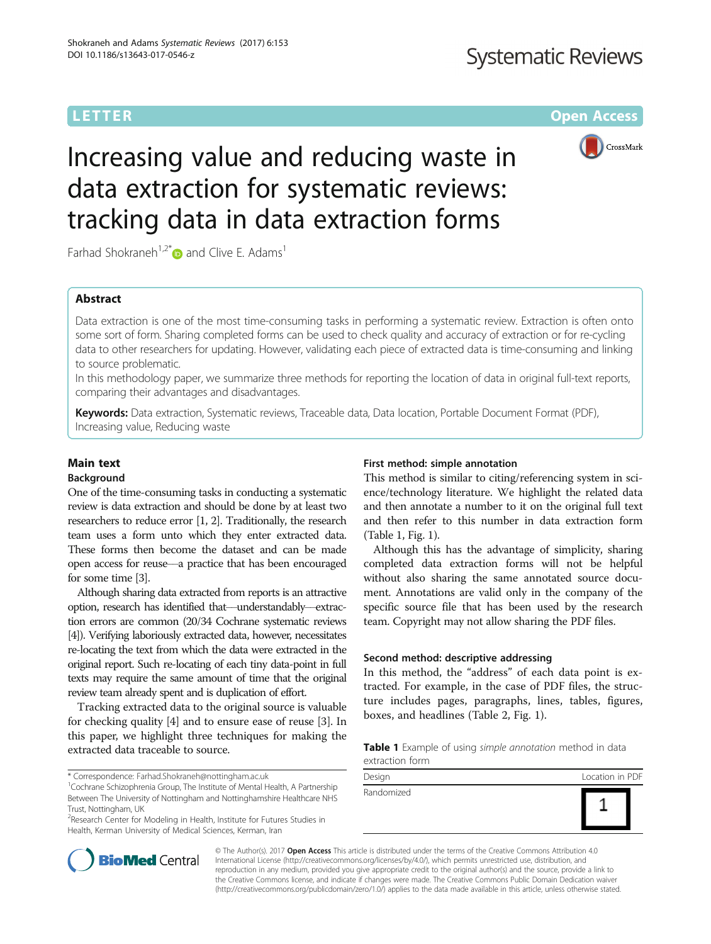## **Systematic Reviews**

**LETTER CONSTRUCTION CONSTRUCTER CONSTRUCTER CONSTRUCTER CONSTRUCTER** 



# Increasing value and reducing waste in data extraction for systematic reviews: tracking data in data extraction forms

Farhad Shokraneh<sup>1,2[\\*](http://orcid.org/0000-0001-9687-8560)</sup> and Clive E. Adams<sup>1</sup>

### Abstract

Data extraction is one of the most time-consuming tasks in performing a systematic review. Extraction is often onto some sort of form. Sharing completed forms can be used to check quality and accuracy of extraction or for re-cycling data to other researchers for updating. However, validating each piece of extracted data is time-consuming and linking to source problematic.

In this methodology paper, we summarize three methods for reporting the location of data in original full-text reports, comparing their advantages and disadvantages.

Keywords: Data extraction, Systematic reviews, Traceable data, Data location, Portable Document Format (PDF), Increasing value, Reducing waste

#### Main text

#### Background

One of the time-consuming tasks in conducting a systematic review is data extraction and should be done by at least two researchers to reduce error [\[1](#page-2-0), [2](#page-2-0)]. Traditionally, the research team uses a form unto which they enter extracted data. These forms then become the dataset and can be made open access for reuse––a practice that has been encouraged for some time [\[3\]](#page-2-0).

Although sharing data extracted from reports is an attractive option, research has identified that––understandably––extraction errors are common (20/34 Cochrane systematic reviews [\[4\]](#page-2-0)). Verifying laboriously extracted data, however, necessitates re-locating the text from which the data were extracted in the original report. Such re-locating of each tiny data-point in full texts may require the same amount of time that the original review team already spent and is duplication of effort.

Tracking extracted data to the original source is valuable for checking quality [\[4](#page-2-0)] and to ensure ease of reuse [\[3\]](#page-2-0). In this paper, we highlight three techniques for making the extracted data traceable to source.

\* Correspondence: [Farhad.Shokraneh@nottingham.ac.uk](mailto:Farhad.Shokraneh@nottingham.ac.uk) <sup>1</sup>

<sup>1</sup> Cochrane Schizophrenia Group, The Institute of Mental Health, A Partnership Between The University of Nottingham and Nottinghamshire Healthcare NHS Trust, Nottingham, UK

<sup>2</sup> Research Center for Modeling in Health, Institute for Futures Studies in Health, Kerman University of Medical Sciences, Kerman, Iran

#### First method: simple annotation

This method is similar to citing/referencing system in science/technology literature. We highlight the related data and then annotate a number to it on the original full text and then refer to this number in data extraction form (Table 1, Fig. [1](#page-1-0)).

Although this has the advantage of simplicity, sharing completed data extraction forms will not be helpful without also sharing the same annotated source document. Annotations are valid only in the company of the specific source file that has been used by the research team. Copyright may not allow sharing the PDF files.

#### Second method: descriptive addressing

In this method, the "address" of each data point is extracted. For example, in the case of PDF files, the structure includes pages, paragraphs, lines, tables, figures, boxes, and headlines (Table [2](#page-1-0), Fig. [1\)](#page-1-0).

Table 1 Example of using simple annotation method in data extraction form





© The Author(s). 2017 **Open Access** This article is distributed under the terms of the Creative Commons Attribution 4.0 International License [\(http://creativecommons.org/licenses/by/4.0/](http://creativecommons.org/licenses/by/4.0/)), which permits unrestricted use, distribution, and reproduction in any medium, provided you give appropriate credit to the original author(s) and the source, provide a link to the Creative Commons license, and indicate if changes were made. The Creative Commons Public Domain Dedication waiver [\(http://creativecommons.org/publicdomain/zero/1.0/](http://creativecommons.org/publicdomain/zero/1.0/)) applies to the data made available in this article, unless otherwise stated.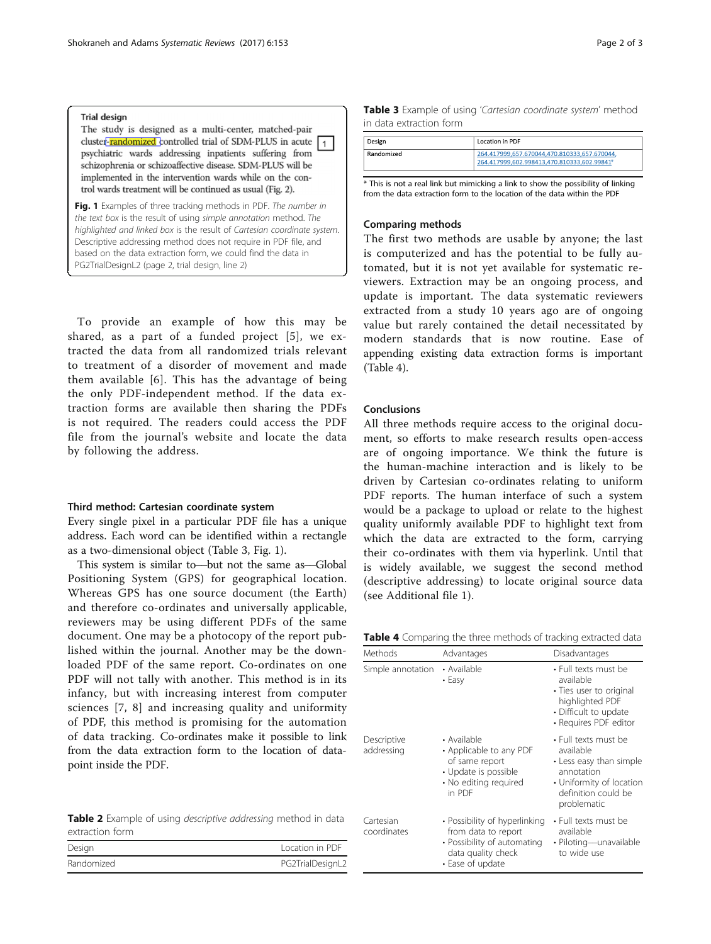#### <span id="page-1-0"></span>**Trial design**

The study is designed as a multi-center, matched-pair cluster-randomized controlled trial of SDM-PLUS in acute  $\boxed{1}$ psychiatric wards addressing inpatients suffering from schizophrenia or schizoaffective disease. SDM-PLUS will be implemented in the intervention wards while on the control wards treatment will be continued as usual (Fig. 2).

Fig. 1 Examples of three tracking methods in PDF. The number in the text box is the result of using simple annotation method. The highlighted and linked box is the result of Cartesian coordinate system. Descriptive addressing method does not require in PDF file, and based on the data extraction form, we could find the data in PG2TrialDesignL2 (page 2, trial design, line 2)

To provide an example of how this may be shared, as a part of a funded project [[5\]](#page-2-0), we extracted the data from all randomized trials relevant to treatment of a disorder of movement and made them available [[6\]](#page-2-0). This has the advantage of being the only PDF-independent method. If the data extraction forms are available then sharing the PDFs is not required. The readers could access the PDF file from the journal's website and locate the data by following the address.

#### Third method: Cartesian coordinate system

Every single pixel in a particular PDF file has a unique address. Each word can be identified within a rectangle as a two-dimensional object (Table 3, Fig. 1).

This system is similar to––but not the same as––Global Positioning System (GPS) for geographical location. Whereas GPS has one source document (the Earth) and therefore co-ordinates and universally applicable, reviewers may be using different PDFs of the same document. One may be a photocopy of the report published within the journal. Another may be the downloaded PDF of the same report. Co-ordinates on one PDF will not tally with another. This method is in its infancy, but with increasing interest from computer sciences [[7](#page-2-0), [8](#page-2-0)] and increasing quality and uniformity of PDF, this method is promising for the automation of data tracking. Co-ordinates make it possible to link from the data extraction form to the location of datapoint inside the PDF.

| <b>Table 2</b> Example of using <i>descriptive addressing</i> method in data |  |  |
|------------------------------------------------------------------------------|--|--|
| extraction form                                                              |  |  |

| Design     | Location in PDF  |
|------------|------------------|
| Randomized | PG2TrialDesignL2 |

|                         | Table 3 Example of using 'Cartesian coordinate system' method |  |  |
|-------------------------|---------------------------------------------------------------|--|--|
| in data extraction form |                                                               |  |  |

| Design     | Location in PDF                                                                             |
|------------|---------------------------------------------------------------------------------------------|
| Randomized | 264.417999.657.670044.470.810333.657.670044.<br>264.417999,602.998413,470.810333,602.99841* |

\* This is not a real link but mimicking a link to show the possibility of linking from the data extraction form to the location of the data within the PDF

#### Comparing methods

The first two methods are usable by anyone; the last is computerized and has the potential to be fully automated, but it is not yet available for systematic reviewers. Extraction may be an ongoing process, and update is important. The data systematic reviewers extracted from a study 10 years ago are of ongoing value but rarely contained the detail necessitated by modern standards that is now routine. Ease of appending existing data extraction forms is important (Table 4).

#### Conclusions

All three methods require access to the original document, so efforts to make research results open-access are of ongoing importance. We think the future is the human-machine interaction and is likely to be driven by Cartesian co-ordinates relating to uniform PDF reports. The human interface of such a system would be a package to upload or relate to the highest quality uniformly available PDF to highlight text from which the data are extracted to the form, carrying their co-ordinates with them via hyperlink. Until that is widely available, we suggest the second method (descriptive addressing) to locate original source data (see Additional file [1\)](#page-2-0).

Table 4 Comparing the three methods of tracking extracted data

| Methods                   | Advantages                                                                                                                    | Disadvantages                                                                                                                                |
|---------------------------|-------------------------------------------------------------------------------------------------------------------------------|----------------------------------------------------------------------------------------------------------------------------------------------|
| Simple annotation         | • Available<br>$\cdot$ Easy                                                                                                   | $\cdot$ Full texts must be<br>available<br>• Ties user to original<br>highlighted PDF<br>• Difficult to update<br>• Requires PDF editor      |
| Descriptive<br>addressing | • Available<br>• Applicable to any PDF<br>of same report<br>• Update is possible<br>• No editing required<br>in PDF           | • Full texts must be<br>available<br>• Less easy than simple<br>annotation<br>• Uniformity of location<br>definition could be<br>problematic |
| Cartesian<br>coordinates  | • Possibility of hyperlinking<br>from data to report<br>• Possibility of automating<br>data quality check<br>• Ease of update | $\cdot$ Full texts must be<br>available<br>· Piloting-unavailable<br>to wide use                                                             |